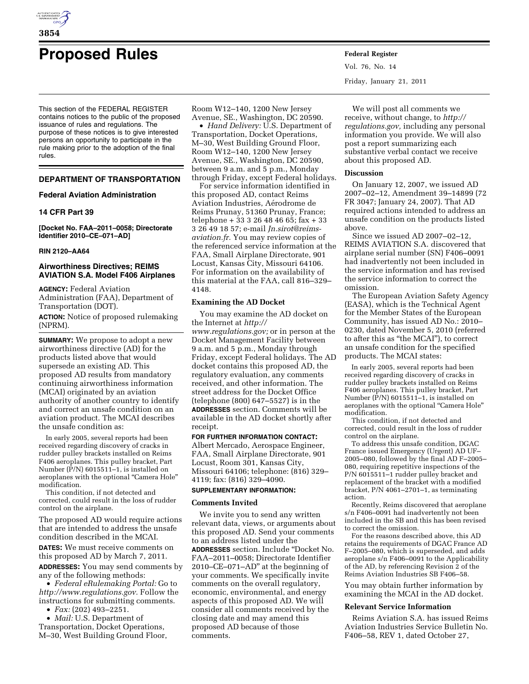

# **Proposed Rules Federal Register**

This section of the FEDERAL REGISTER contains notices to the public of the proposed issuance of rules and regulations. The purpose of these notices is to give interested persons an opportunity to participate in the rule making prior to the adoption of the final rules.

# **DEPARTMENT OF TRANSPORTATION**

# **Federal Aviation Administration**

# **14 CFR Part 39**

**[Docket No. FAA–2011–0058; Directorate Identifier 2010–CE–071–AD]** 

# **RIN 2120–AA64**

# **Airworthiness Directives; REIMS AVIATION S.A. Model F406 Airplanes**

**AGENCY:** Federal Aviation Administration (FAA), Department of Transportation (DOT).

**ACTION:** Notice of proposed rulemaking (NPRM).

**SUMMARY:** We propose to adopt a new airworthiness directive (AD) for the products listed above that would supersede an existing AD. This proposed AD results from mandatory continuing airworthiness information (MCAI) originated by an aviation authority of another country to identify and correct an unsafe condition on an aviation product. The MCAI describes the unsafe condition as:

In early 2005, several reports had been received regarding discovery of cracks in rudder pulley brackets installed on Reims F406 aeroplanes. This pulley bracket, Part Number  $(\overline{P/N})$  6015511–1, is installed on aeroplanes with the optional ''Camera Hole'' modification.

This condition, if not detected and corrected, could result in the loss of rudder control on the airplane.

The proposed AD would require actions that are intended to address the unsafe condition described in the MCAI.

**DATES:** We must receive comments on this proposed AD by March 7, 2011.

**ADDRESSES:** You may send comments by any of the following methods:

• *Federal eRulemaking Portal:* Go to *[http://www.regulations.gov.](http://www.regulations.gov)* Follow the instructions for submitting comments.

• *Fax:* (202) 493–2251.

• *Mail:* U.S. Department of Transportation, Docket Operations, M–30, West Building Ground Floor, Room W12–140, 1200 New Jersey

Avenue, SE., Washington, DC 20590. • *Hand Delivery:* U.S. Department of Transportation, Docket Operations, M–30, West Building Ground Floor, Room W12–140, 1200 New Jersey Avenue, SE., Washington, DC 20590, between 9 a.m. and 5 p.m., Monday through Friday, except Federal holidays.

For service information identified in this proposed AD, contact Reims Aviation Industries, Aérodrome de Reims Prunay, 51360 Prunay, France; telephone + 33 3 26 48 46 65; fax + 33 3 26 49 18 57; e-mail *[Jn.sirot@reims](mailto:Jn.sirot@reims-aviation.fr)[aviation.fr.](mailto:Jn.sirot@reims-aviation.fr)* You may review copies of the referenced service information at the FAA, Small Airplane Directorate, 901 Locust, Kansas City, Missouri 64106. For information on the availability of this material at the FAA, call 816–329– 4148.

# **Examining the AD Docket**

You may examine the AD docket on the Internet at *[http://](http://www.regulations.gov)  [www.regulations.gov;](http://www.regulations.gov)* or in person at the Docket Management Facility between 9 a.m. and 5 p.m., Monday through Friday, except Federal holidays. The AD docket contains this proposed AD, the regulatory evaluation, any comments received, and other information. The street address for the Docket Office (telephone (800) 647–5527) is in the **ADDRESSES** section. Comments will be available in the AD docket shortly after receipt.

## **FOR FURTHER INFORMATION CONTACT:**

Albert Mercado, Aerospace Engineer, FAA, Small Airplane Directorate, 901 Locust, Room 301, Kansas City, Missouri 64106; telephone: (816) 329– 4119; fax: (816) 329–4090.

# **SUPPLEMENTARY INFORMATION:**

# **Comments Invited**

We invite you to send any written relevant data, views, or arguments about this proposed AD. Send your comments to an address listed under the **ADDRESSES** section. Include ''Docket No. FAA–2011–0058; Directorate Identifier 2010–CE–071–AD'' at the beginning of your comments. We specifically invite comments on the overall regulatory, economic, environmental, and energy aspects of this proposed AD. We will consider all comments received by the closing date and may amend this proposed AD because of those comments.

Vol. 76, No. 14 Friday, January 21, 2011

We will post all comments we receive, without change, to *[http://](http://regulations.gov) [regulations.gov,](http://regulations.gov)* including any personal information you provide. We will also post a report summarizing each substantive verbal contact we receive about this proposed AD.

# **Discussion**

On January 12, 2007, we issued AD 2007–02–12, Amendment 39–14899 (72 FR 3047; January 24, 2007). That AD required actions intended to address an unsafe condition on the products listed above.

Since we issued AD 2007–02–12, REIMS AVIATION S.A. discovered that airplane serial number (SN) F406–0091 had inadvertently not been included in the service information and has revised the service information to correct the omission.

The European Aviation Safety Agency (EASA), which is the Technical Agent for the Member States of the European Community, has issued AD No.: 2010– 0230, dated November 5, 2010 (referred to after this as ''the MCAI''), to correct an unsafe condition for the specified products. The MCAI states:

In early 2005, several reports had been received regarding discovery of cracks in rudder pulley brackets installed on Reims F406 aeroplanes. This pulley bracket, Part Number  $(\overline{P/N})$  6015511–1, is installed on aeroplanes with the optional "Camera Hole" modification.

This condition, if not detected and corrected, could result in the loss of rudder control on the airplane.

To address this unsafe condition, DGAC France issued Emergency (Urgent) AD UF– 2005–080, followed by the final AD F–2005– 080, requiring repetitive inspections of the P/N 6015511-1 rudder pulley bracket and replacement of the bracket with a modified bracket, P/N 4061–2701–1, as terminating action.

Recently, Reims discovered that aeroplane s/n F406-0091 had inadvertently not been included in the SB and this has been revised to correct the omission.

For the reasons described above, this AD retains the requirements of DGAC France AD F–2005–080, which is superseded, and adds aeroplane s/n F406–0091 to the Applicability of the AD, by referencing Revision 2 of the Reims Aviation Industries SB F406–58.

You may obtain further information by examining the MCAI in the AD docket.

#### **Relevant Service Information**

Reims Aviation S.A. has issued Reims Aviation Industries Service Bulletin No. F406–58, REV 1, dated October 27,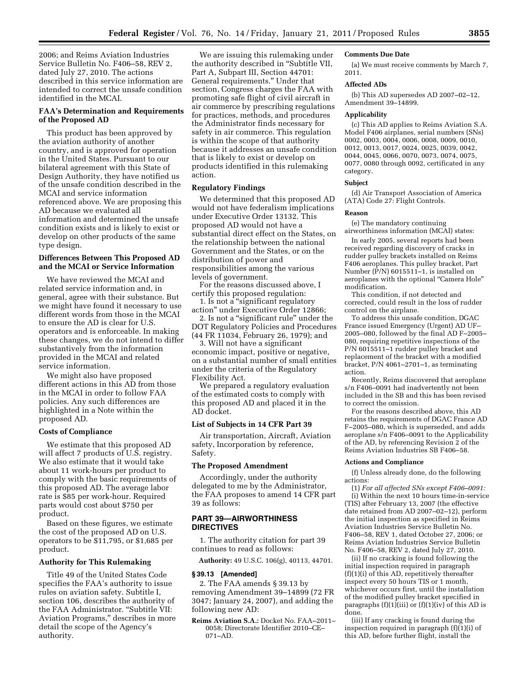2006; and Reims Aviation Industries Service Bulletin No. F406–58, REV 2, dated July 27, 2010. The actions described in this service information are intended to correct the unsafe condition identified in the MCAI.

# **FAA's Determination and Requirements of the Proposed AD**

This product has been approved by the aviation authority of another country, and is approved for operation in the United States. Pursuant to our bilateral agreement with this State of Design Authority, they have notified us of the unsafe condition described in the MCAI and service information referenced above. We are proposing this AD because we evaluated all information and determined the unsafe condition exists and is likely to exist or develop on other products of the same type design.

# **Differences Between This Proposed AD and the MCAI or Service Information**

We have reviewed the MCAI and related service information and, in general, agree with their substance. But we might have found it necessary to use different words from those in the MCAI to ensure the AD is clear for U.S. operators and is enforceable. In making these changes, we do not intend to differ substantively from the information provided in the MCAI and related service information.

We might also have proposed different actions in this AD from those in the MCAI in order to follow FAA policies. Any such differences are highlighted in a Note within the proposed AD.

#### **Costs of Compliance**

We estimate that this proposed AD will affect 7 products of U.S. registry. We also estimate that it would take about 11 work-hours per product to comply with the basic requirements of this proposed AD. The average labor rate is \$85 per work-hour. Required parts would cost about \$750 per product.

Based on these figures, we estimate the cost of the proposed AD on U.S. operators to be \$11,795, or \$1,685 per product.

#### **Authority for This Rulemaking**

Title 49 of the United States Code specifies the FAA's authority to issue rules on aviation safety. Subtitle I, section 106, describes the authority of the FAA Administrator. "Subtitle VII: Aviation Programs,'' describes in more detail the scope of the Agency's authority.

We are issuing this rulemaking under the authority described in ''Subtitle VII, Part A, Subpart III, Section 44701: General requirements.'' Under that section, Congress charges the FAA with promoting safe flight of civil aircraft in air commerce by prescribing regulations for practices, methods, and procedures the Administrator finds necessary for safety in air commerce. This regulation is within the scope of that authority because it addresses an unsafe condition that is likely to exist or develop on products identified in this rulemaking action.

#### **Regulatory Findings**

We determined that this proposed AD would not have federalism implications under Executive Order 13132. This proposed AD would not have a substantial direct effect on the States, on the relationship between the national Government and the States, or on the distribution of power and responsibilities among the various levels of government.

For the reasons discussed above, I certify this proposed regulation:

1. Is not a ''significant regulatory action'' under Executive Order 12866; 2. Is not a "significant rule" under the

DOT Regulatory Policies and Procedures (44 FR 11034, February 26, 1979); and

3. Will not have a significant economic impact, positive or negative, on a substantial number of small entities under the criteria of the Regulatory Flexibility Act.

We prepared a regulatory evaluation of the estimated costs to comply with this proposed AD and placed it in the AD docket.

#### **List of Subjects in 14 CFR Part 39**

Air transportation, Aircraft, Aviation safety, Incorporation by reference, Safety.

# **The Proposed Amendment**

Accordingly, under the authority delegated to me by the Administrator, the FAA proposes to amend 14 CFR part 39 as follows:

# **PART 39—AIRWORTHINESS DIRECTIVES**

1. The authority citation for part 39 continues to read as follows:

**Authority:** 49 U.S.C. 106(g), 40113, 44701.

#### **§ 39.13 [Amended]**

2. The FAA amends § 39.13 by removing Amendment 39–14899 (72 FR 3047; January 24, 2007), and adding the following new AD:

**Reims Aviation S.A.:** Docket No. FAA–2011– 0058; Directorate Identifier 2010–CE– 071–AD.

#### **Comments Due Date**

(a) We must receive comments by March 7, 2011.

# **Affected ADs**

(b) This AD supersedes AD 2007–02–12, Amendment 39–14899.

#### **Applicability**

(c) This AD applies to Reims Aviation S.A. Model F406 airplanes, serial numbers (SNs) 0002, 0003, 0004, 0006, 0008, 0009, 0010, 0012, 0013, 0017, 0024, 0025, 0039, 0042, 0044, 0045, 0066, 0070, 0073, 0074, 0075, 0077, 0080 through 0092, certificated in any category.

#### **Subject**

(d) Air Transport Association of America (ATA) Code 27: Flight Controls.

# **Reason**

(e) The mandatory continuing airworthiness information (MCAI) states:

In early 2005, several reports had been received regarding discovery of cracks in rudder pulley brackets installed on Reims F406 aeroplanes. This pulley bracket, Part Number (P/N) 6015511–1, is installed on aeroplanes with the optional "Camera Hole" modification.

This condition, if not detected and corrected, could result in the loss of rudder control on the airplane.

To address this unsafe condition, DGAC France issued Emergency (Urgent) AD UF– 2005–080, followed by the final AD F–2005– 080, requiring repetitive inspections of the P/N 6015511–1 rudder pulley bracket and replacement of the bracket with a modified bracket, P/N 4061–2701–1, as terminating action.

Recently, Reims discovered that aeroplane s/n F406–0091 had inadvertently not been included in the SB and this has been revised to correct the omission.

For the reasons described above, this AD retains the requirements of DGAC France AD F–2005–080, which is superseded, and adds aeroplane s/n F406–0091 to the Applicability of the AD, by referencing Revision 2 of the Reims Aviation Industries SB F406–58.

#### **Actions and Compliance**

(f) Unless already done, do the following actions:

(1) *For all affected SNs except F406–0091:*  (i) Within the next 10 hours time-in-service (TIS) after February 13, 2007 (the effective date retained from AD 2007–02–12), perform the initial inspection as specified in Reims Aviation Industries Service Bulletin No. F406–58, REV 1, dated October 27, 2006; or Reims Aviation Industries Service Bulletin No. F406–58, REV 2, dated July 27, 2010.

(ii) If no cracking is found following the initial inspection required in paragraph (f)(1)(i) of this AD, repetitively thereafter inspect every 50 hours TIS or 1 month, whichever occurs first, until the installation of the modified pulley bracket specified in paragraphs  $(f)(1)(iii)$  or  $(f)(1)(iv)$  of this AD is done.

(iii) If any cracking is found during the inspection required in paragraph (f)(1)(i) of this AD, before further flight, install the